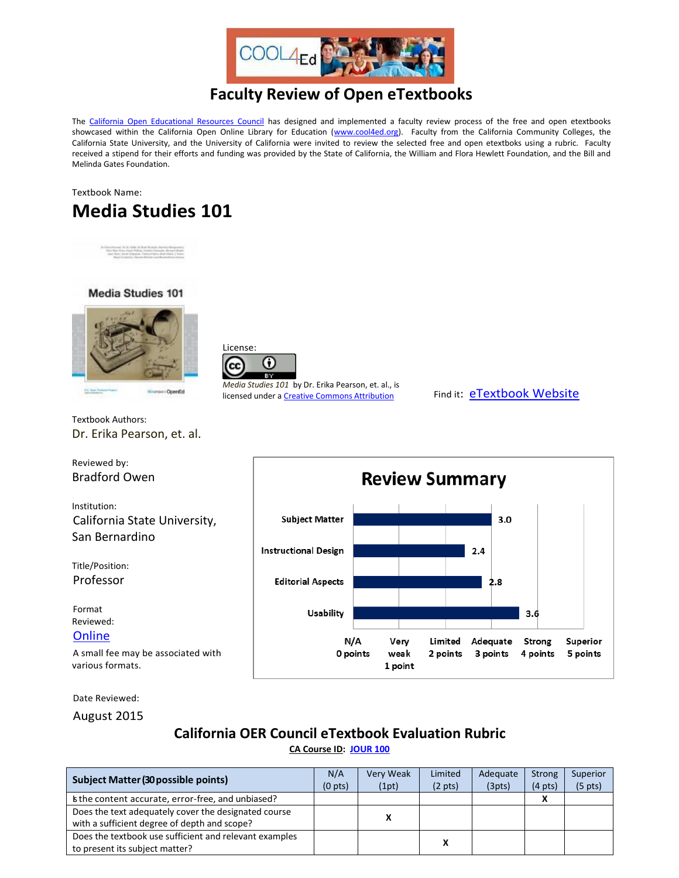

# **Faculty Review of Open eTextbooks**

The [California Open Educational Resources Council](http://icas-ca.org/coerc) has designed and implemented a faculty review process of the free and open etextbooks showcased within the California Open Online Library for Education [\(www.cool4ed.org\)](http://www.cool4ed.org/). Faculty from the California Community Colleges, the California State University, and the University of California were invited to review the selected free and open etextboks using a rubric. Faculty received a stipend for their efforts and funding was provided by the State of California, the William and Flora Hewlett Foundation, and the Bill and Melinda Gates Foundation.

## Textbook Name: **Media Studies 101**







*Media Studies 101* by Dr. Erika Pearson, et. al., is licensed under [a Creative Commons Attribution](http://creativecommons.org/licenses/by/4.0/) Find it: [eTextbook Website](http://open.bccampus.ca/find-open-textbooks/?uuid=e700f1ca-aadb-481c-a30f-180cbf2eb80c)



Dr. Erika Pearson, et. al.

Reviewed by: Bradford Owen

Textbook Authors:

Institution: California State University, San Bernardino

Title/Position: Professor

Format Reviewed:

#### **[Online](http://solr.bccampus.ca:8001/bcc/file/e700f1ca-aadb-481c-a30f-180cbf2eb80c/1/Media-Studies-101.pdf)**

A small fee may be associated with various formats.

Date Reviewed:

August 2015

### **California OER Council eTextbook Evaluation Rubric**

**[CA Course ID:](https://c-id.net/about.html) [JOUR 100](https://c-id.net/descriptor_details.html?descriptor=374&submitbtn=Go)**

| <b>Subject Matter (30 possible points)</b>             |   | Very Weak | Limited           | Adequate | Strong            | Superior            |
|--------------------------------------------------------|---|-----------|-------------------|----------|-------------------|---------------------|
|                                                        |   | (1pt)     | $(2 \text{ pts})$ | (3pts)   | $(4 \text{ pts})$ | (5 <sub>pts</sub> ) |
| the content accurate, error-free, and unbiased?        |   |           |                   |          |                   |                     |
| Does the text adequately cover the designated course   |   |           |                   |          |                   |                     |
| with a sufficient degree of depth and scope?           | x |           |                   |          |                   |                     |
| Does the textbook use sufficient and relevant examples |   |           |                   |          |                   |                     |
| to present its subject matter?                         |   |           |                   |          |                   |                     |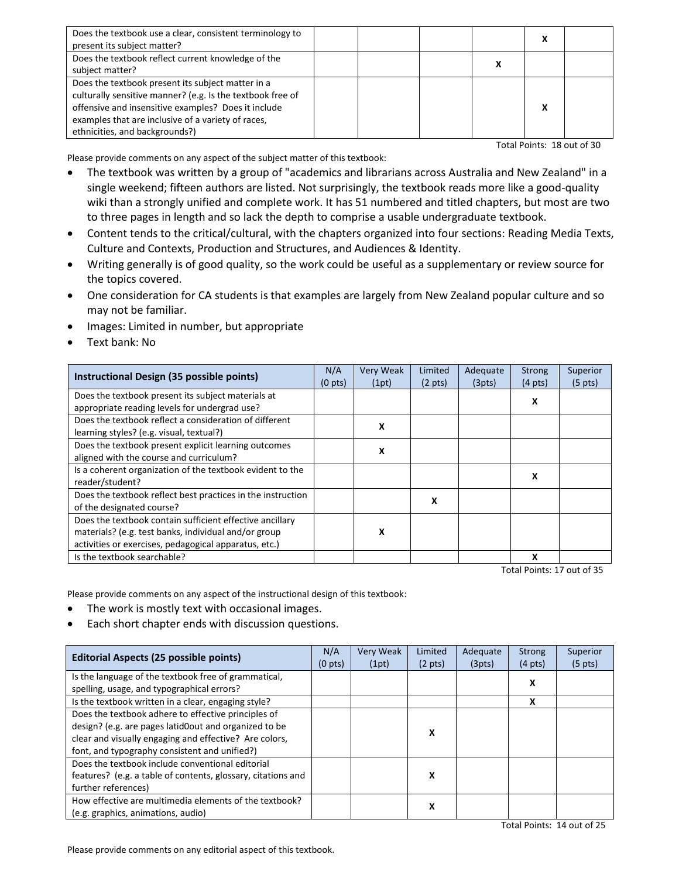| Does the textbook use a clear, consistent terminology to<br>present its subject matter?                                                                                                                                                                        |  |  |  |
|----------------------------------------------------------------------------------------------------------------------------------------------------------------------------------------------------------------------------------------------------------------|--|--|--|
| Does the textbook reflect current knowledge of the<br>subject matter?                                                                                                                                                                                          |  |  |  |
| Does the textbook present its subject matter in a<br>culturally sensitive manner? (e.g. Is the textbook free of<br>offensive and insensitive examples? Does it include<br>examples that are inclusive of a variety of races,<br>ethnicities, and backgrounds?) |  |  |  |

Total Points: 18 out of 30

Please provide comments on any aspect of the subject matter of this textbook:

- The textbook was written by a group of "academics and librarians across Australia and New Zealand" in a single weekend; fifteen authors are listed. Not surprisingly, the textbook reads more like a good-quality wiki than a strongly unified and complete work. It has 51 numbered and titled chapters, but most are two to three pages in length and so lack the depth to comprise a usable undergraduate textbook.
- Content tends to the critical/cultural, with the chapters organized into four sections: Reading Media Texts, Culture and Contexts, Production and Structures, and Audiences & Identity.
- Writing generally is of good quality, so the work could be useful as a supplementary or review source for the topics covered.
- One consideration for CA students is that examples are largely from New Zealand popular culture and so may not be familiar.
- Images: Limited in number, but appropriate
- Text bank: No

| Instructional Design (35 possible points)                   |                     | <b>Very Weak</b> | Limited           | Adequate<br>(3pts) | <b>Strong</b><br>$(4 \text{ pts})$ | Superior          |
|-------------------------------------------------------------|---------------------|------------------|-------------------|--------------------|------------------------------------|-------------------|
|                                                             | (0 <sub>pts</sub> ) | (1pt)            | $(2 \text{ pts})$ |                    |                                    | $(5 \text{ pts})$ |
| Does the textbook present its subject materials at          |                     |                  |                   |                    | X                                  |                   |
| appropriate reading levels for undergrad use?               |                     |                  |                   |                    |                                    |                   |
| Does the textbook reflect a consideration of different      |                     | x                |                   |                    |                                    |                   |
| learning styles? (e.g. visual, textual?)                    |                     |                  |                   |                    |                                    |                   |
| Does the textbook present explicit learning outcomes        |                     | x                |                   |                    |                                    |                   |
| aligned with the course and curriculum?                     |                     |                  |                   |                    |                                    |                   |
| Is a coherent organization of the textbook evident to the   |                     |                  |                   |                    | x                                  |                   |
| reader/student?                                             |                     |                  |                   |                    |                                    |                   |
| Does the textbook reflect best practices in the instruction |                     |                  |                   |                    |                                    |                   |
| of the designated course?                                   |                     |                  | x                 |                    |                                    |                   |
| Does the textbook contain sufficient effective ancillary    |                     |                  |                   |                    |                                    |                   |
| materials? (e.g. test banks, individual and/or group        |                     | x                |                   |                    |                                    |                   |
| activities or exercises, pedagogical apparatus, etc.)       |                     |                  |                   |                    |                                    |                   |
| Is the textbook searchable?                                 |                     |                  |                   |                    | x                                  |                   |

Total Points: 17 out of 35

Please provide comments on any aspect of the instructional design of this textbook:

- The work is mostly text with occasional images.
- Each short chapter ends with discussion questions.

| <b>Editorial Aspects (25 possible points)</b>                |                   | <b>Very Weak</b> | Limited           | Adequate | <b>Strong</b>     | Superior          |
|--------------------------------------------------------------|-------------------|------------------|-------------------|----------|-------------------|-------------------|
|                                                              | $(0 \text{ pts})$ | (1pt)            | $(2 \text{ pts})$ |          | $(4 \text{ pts})$ | $(5 \text{ pts})$ |
| Is the language of the textbook free of grammatical,         |                   |                  |                   |          | x                 |                   |
| spelling, usage, and typographical errors?                   |                   |                  |                   |          |                   |                   |
| Is the textbook written in a clear, engaging style?          |                   |                  |                   |          | X                 |                   |
| Does the textbook adhere to effective principles of          |                   |                  |                   |          |                   |                   |
| design? (e.g. are pages latid0out and organized to be        |                   |                  |                   |          |                   |                   |
| clear and visually engaging and effective? Are colors,       |                   | x                |                   |          |                   |                   |
| font, and typography consistent and unified?)                |                   |                  |                   |          |                   |                   |
| Does the textbook include conventional editorial             |                   |                  |                   |          |                   |                   |
| features? (e.g. a table of contents, glossary, citations and |                   |                  | x                 |          |                   |                   |
| further references)                                          |                   |                  |                   |          |                   |                   |
| How effective are multimedia elements of the textbook?       |                   |                  |                   |          |                   |                   |
| (e.g. graphics, animations, audio)                           |                   |                  | x                 |          |                   |                   |

Please provide comments on any editorial aspect of this textbook.